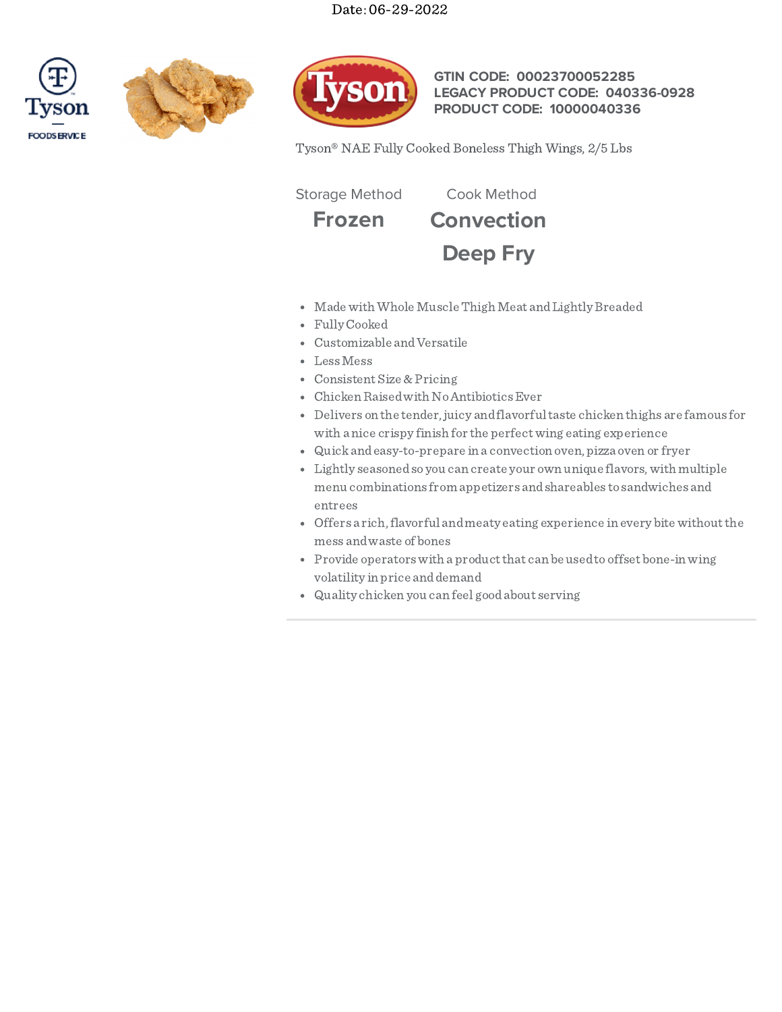# Date: 06-29-2022







# **GTIN CODE: 00023700052285 LEGACY PRODUCT CODE: 040336-0928 PRODUCT CODE: 10000040336**

Tyson® NAE Fully Cooked Boneless Thigh Wings, 2/5 Lbs

Storage Method Cook Method

**Frozen Convection**



- Made with Whole Muscle Thigh Meat and Lightly Breaded
- Fully Cooked
- Customizable andVersatile
- LessMess
- Consistent Size & Pricing
- Chicken Raised with No Antibiotics Ever
- Delivers on the tender, juicy andflavorfultaste chicken thighs are famous for with a nice crispy finish for the perfectwing eating experience
- Quickandeasy-to-prepare in a convection oven, pizza oven or fryer
- Lightly seasonedso you can create your own unique flavors,with multiple menu combinations from appetizers andshareables to sandwiches and entrees
- Offers a rich, flavorful and meaty eating experience in every bite without the mess andwaste of bones
- Provide operators with a product that can be used to offset bone-in wing volatility in price anddemand
- Quality chicken you can feel goodabout serving